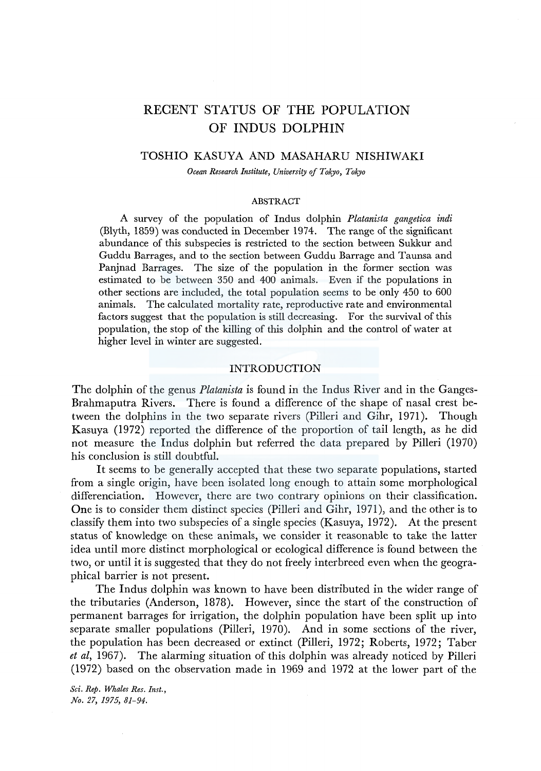# RECENT STATUS OF THE POPULATION OF INDUS DOLPHIN

## TOSHIO KASUYA AND MASAHARU NISHIWAKI

*Ocean Research Institute, University of Tokyo, Tokyo* 

#### ABSTRACT

A survey of the population of Indus dolphin *Platanista gangetica indi*  (Blyth, 1859) was conducted in December 1974. The range of the significant abundance of this subspecies is restricted to the section between Sukkur and Guddu Barrages, and to the section between Guddu Barrage and Taunsa and Panjnad Barrages. The size of the population in the former section was estimated to be between 350 and 400 animals. Even if the populations in other sections are included, the total population seems to be only 450 to 600 animals. The calculated mortality rate, reproductive rate and environmental factors suggest that the population is still decreasing. For the survival of this population, the stop of the killing of this dolphin and the control of water at higher level in winter are suggested.

# INTRODUCTION

The dolphin of *the* genus *Platanista* is found in *the* lndus River and in *the* Ganges-Brahmaputra Rivers. *There* is found a difference of *the* shape of nasal crest between *the* dolphins in *the* two separate rivers (Pilleri and Gihr, 1971). Though Kasuya (1972) reported *the* difference of *the* proportion of tail length, as *he* did not measure *the* lndus dolphin but referred *the* data prepared by Pilleri (1970) his conclusion is still doubtful.

It *seems* to *be* generally accepted that *these* two separate populations, started from a single origin, have *been* isolated long enough to attain some morphological differenciation. However, there are two contrary opinions on their classification. *One* is to consider *them* distinct species (Pilleri and Gihr, 1971), and the *other* is to classify *them* into two subspecies of a single species (Kasuya, 1972). At *the* present status of knowledge on these animals, we consider it reasonable to take the latter idea until more distinct morphological or ecological difference is found between the two, or until it is suggested that *they* do not freely interbreed even when the geographical barrier is not present.

*The* lndus dolphin was known to have been distributed in the wider range of *the* tributaries (Anderson, 1878). However, since *the* start of the construction of permanent barrages for irrigation, *the* dolphin population have *been* split up into separate smaller populations (Pilleri, 1970). And in *some* sections of the river, the population has been decreased or extinct (Pilleri, 1972; Roberts, 1972; Taber *et al,* 1967). The alarming situation of this dolphin was already noticed by Pilleri (1972) based on the observation made in 1969 and 1972 at the lower part of the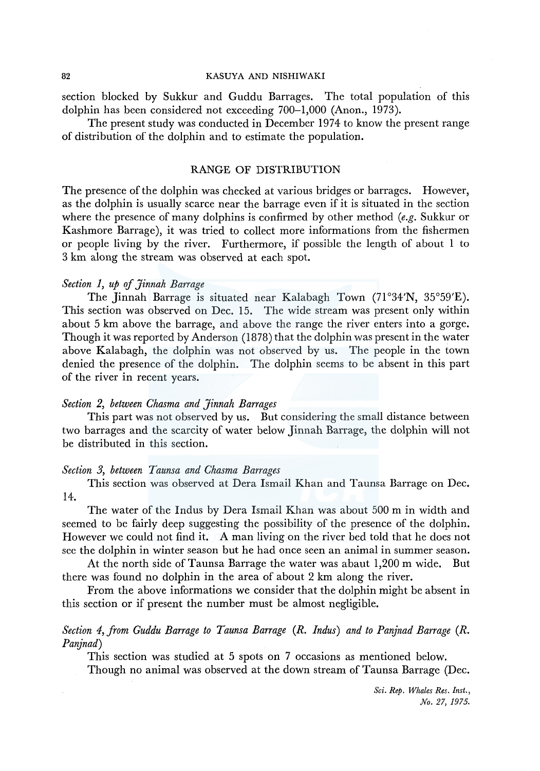section blocked by Sukkur and Guddu Barrages. The total population of this dolphin has been considered not exceeding 700-1,000 (Anon., 1973).

The present study was conducted in December 1974 to know the present range of distribution of the dolphin and to estimate the population.

### RANGE OF DISTRIBUTION

The presence of the dolphin was checked at various bridges or barrages. However, as the dolphin is usually scarce near the barrage even if it is situated in the section where the presence of many dolphins is confirmed by other method *(e.g.* Sukkur or Kashmore Barrage), it was tried to collect more informations from the fishermen or people living by the river. Furthermore, if possible the length of about 1 to 3 km along the stream was observed at each spot.

# *Section 1, up of Jinnah Barrage*

The Jinnah Barrage is situated near Kalabagh Town (71°34'N, 35°59'E). This section was observed on Dec. 15. The wide stream was present only within about 5 km above the barrage, and above the range the river enters into a gorge. Though it was reported by Anderson (1878) that the dolphin was present in the water above Kalabagh, the dolphin was not observed by us. The people in the town denied the presence of the dolphin. The dolphin seems to be absent in this part of the river in recent years.

# *Section 2, between Chasma and Jinnah Barrages*

This part was not observed by us. But considering the small distance between two barrages and the scarcity of water below Jinnah Barrage, the dolphin will not be distributed in this section.

### *Section 3, between Taunsa and Chasma Barrages*

This section was observed at Dera Ismail Khan and Taunsa Barrage on Dec. 14.

The water of the Indus by Dera Ismail Khan was about 500 m in width and seemed to be fairly deep suggesting the possibility of the presence of the dolphin. However we could not find it. A man living on the river bed told that he does not see the dolphin in winter season but he had once seen an animal in summer season.

At the north side of Taunsa Barrage the water was abaut 1,200 m wide. But there was found no dolphin in the area of about 2 km along the river.

From the above informations we consider that the dolphin might be absent in this section or if present the number must be almost negligible.

# *Section 4, from Guddu Barrage to Taunsa Barrage (R. Indus) and to Panjnad Barrage (R. Panjnad)*

This section was studied at 5 spots on 7 occasions as mentioned below.

Though no animal was observed at the down stream of Taunsa Barrage (Dec.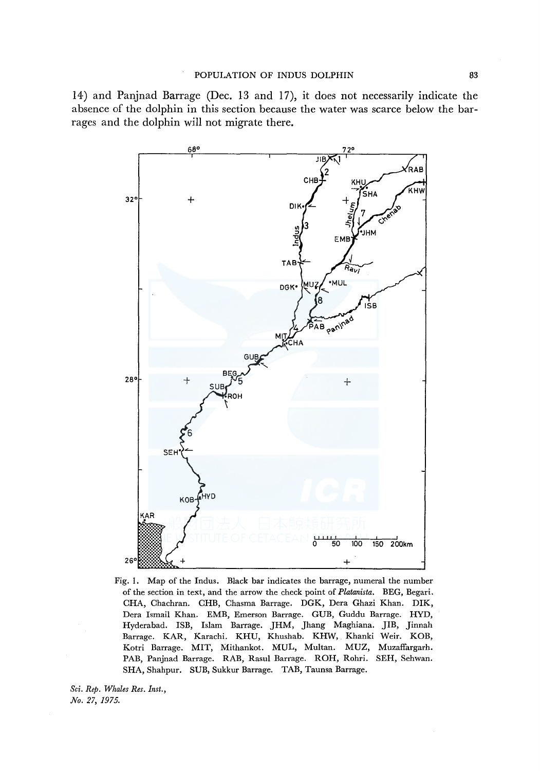14) and Panjnad Barrage (Dec. 13 and 17), it does not necessarily indicate the absence of the dolphin in this section because the water was scarce below the barrages and the dolphin will not migrate there.



Fig. 1. Map of the Indus. Black bar indicates the barrage, numeral the number of the section in text, and the arrow the check point of *Platanista.* BEG, Begari. CHA, Chachran. CHB, Chasma Barrage. DGK, Dera Ghazi Khan. DIK, Dera Ismail Khan. EMB, Emerson Barrage. GUB, Guddu Barrage. HYD, Hyderabad. ISB, Islam Barrage. JHM, Jhang Maghiana. JIB, Jinnah Barrage. KAR, Karachi. KHU, Khushab. KHW, Khanki Weir. KOB, Kotri Barrage. MIT, Mithankot. MUL, Multan. MUZ, Muzaffargarh. PAB, Panjnad Barrage. RAB, Rasul Barrage. ROH, Rohri. SEH, Sehwan. SHA, Shahpur. SUB, Sukkur Barrage. TAB, Taunsa Barrage.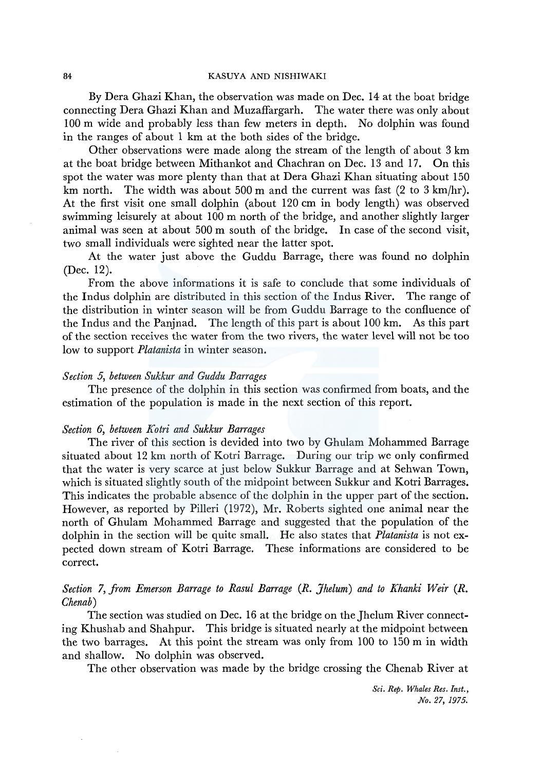By Dera Ghazi Khan, the observation was made on Dec. 14 at the boat bridge connecting Dera Ghazi Khan and Muzaffargarh. The water there was only about 100 m wide and probably less than few meters in depth. No dolphin was found in the ranges of about 1 km at the both sides of the bridge.

Other observations were made along the stream of the length of about 3 km at the boat bridge between Mithankot and Chachran on Dec. 13 and 17. On this spot the water was more plenty than that at Dera Ghazi Khan situating about 150 km north. The width was about 500 m and the current was fast (2 to 3 km/hr). At the first visit one small dolphin (about 120 cm in body length) was observed swimming leisurely at about 100 m north of the bridge, and another slightly larger animal was seen at about 500 m south of the bridge. In case of the second visit, two small individuals were sighted near the latter spot.

At the water just above the Guddu Barrage, there was found no dolphin (Dec. 12).

From the above informations it is safe to conclude that some individuals of the Indus dolphin are distributed in this section of the Indus River. The range of the distribution in winter season will be from Guddu Barrage to the confluence of the Indus and the Panjnad. The length of this part is about 100 km. As this part of the section receives the water from the two rivers, the water level will not be too low to support *Platanista* in winter season.

## *Section 5, between Sukkur and Guddu Barrages*

The presence of the dolphin in this section was confirmed from boats, and the estimation of the population is made in the next section of this report.

# *Section 6, between Kotri and Sukkur Barrages*

The river of this section is devided into two by Ghulam Mohammed Barrage situated about 12 km north of Kotri Barrage. During our trip we only confirmed that the water is very scarce at just below Sukkur Barrage and at Sehwan Town, which is situated slightly south of the midpoint between Sukkur and Kotri Barrages. This indicates the probable absence of the dolphin in the upper part of the section. However, as reported by Pilleri (1972), Mr. Roberts sighted one animal near the north of Ghulam Mohammed Barrage and suggested that the population of the dolphin in the section will be quite small. He also states that *Platanista* is not expected down stream of Kotri Barrage. These informations are considered to be correct.

# *Section 7, from Emerson Barrage to Rasul Barrage* (R. *Jhelum) and to Khanki Weir* (R. *Chenab)*

The section was studied on Dec. 16 at the bridge on the Jhelum River connecting Khushab and Shahpur. This bridge is situated nearly at the midpoint between the two barrages. At this point the stream was only from 100 to 150 m in width and shallow. No dolphin was observed.

The other observation was made by the bridge crossing the Chenab River at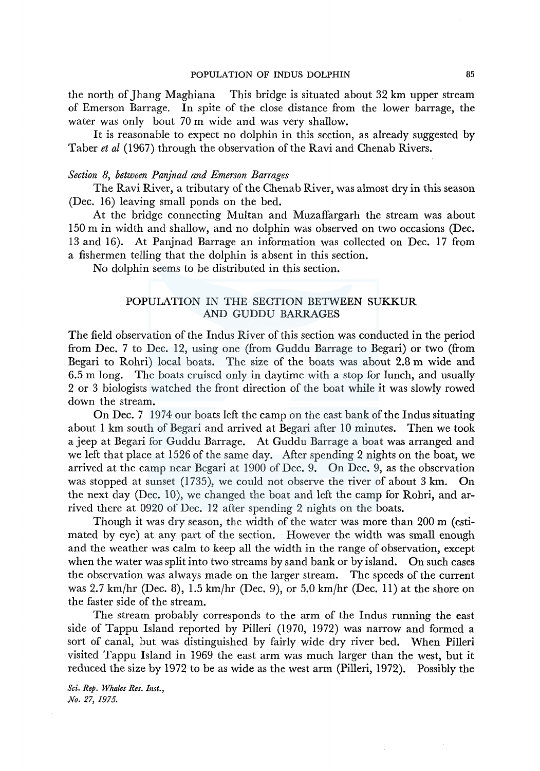the north of Jhang Maghiana This bridge is situated about 32 km upper stream of Emerson Barrage. In spite of the close distance from the lower barrage, the water was only bout 70 m wide and was very shallow.

It is reasonable to expect no dolphin in this section, as already suggested by Taber *et al* (1967) through the observation of the Ravi and Chenab Rivers.

# *Section 8, between Panjnad and Emerson Barrages*

The Ravi River, a tributary of the Chenab River, was almost dry in this season (Dec. 16) leaving small ponds on the bed.

At the bridge connecting Multan and Muzaffargarh the stream was about 150 m in width and shallow, and no dolphin was observed on two occasions (Dec. 13 and 16). At Panjnad Barrage an information was collected on Dec. 17 from a fishermen telling that the dolphin is absent in this section.

No dolphin seems to be distributed in this section.

# POPULATION IN THE SECTION BETWEEN SUKKUR AND GUDDU BARRAGES

The field observation of the Indus River of this section was conducted in the period from Dec. 7 to Dec. 12, using one (from Guddu Barrage to Begari) or two (from Begari to Rohri) local boats. The size of the boats was about 2.8 m wide and 6.5 m long. The boats cruised only in daytime with a stop for lunch, and usually 2 or 3 biologists watched the front direction of the boat while it was slowly rowed down the stream.

On Dec. 7 1974 our boats left the camp on the east bank of the Indus situating about 1 km south of Begari and arrived at Begari after 10 minutes. Then we took a jeep at Begari for Guddu Barrage. At Guddu Barrage a boat was arranged and we left that place at 1526 of the same day. After spending 2 nights on the boat, we arrived at the camp near Begari at 1900 of Dec. 9. On Dec. 9, as the observation was stopped at sunset (1735), we could not observe the river of about 3 km. On the next day (Dec. 10), we changed the boat and left the camp for Rohri, and arrived there at 0920 of Dec. 12 after spending 2 nights on the boats.

Though it was dry season, the width of the water was more than 200 m (estimated by eye) at any part of the section. However the width was small enough and the weather was calm to keep all the width in the range of observation, except when the water was split into two streams by sand bank or by island. On such cases the observation was always made on the larger stream. The speeds of the current was 2.7 km/hr (Dec. 8), 1.5 km/hr (Dec. 9), or 5.0 km/hr (Dec. 11) at the shore on the faster side of the stream.

The stream probably corresponds to the arm of the Indus running the east side of Tappu Island reported by Pilleri (1970, 1972) was narrow and formed a sort of canal, but was distinguished by fairly wide dry river bed. When Pilleri visited Tappu Island in 1969 the east arm was much larger than the west, but it reduced the size by 1972 to be as wide as the west arm (Pilleri, 1972). Possibly the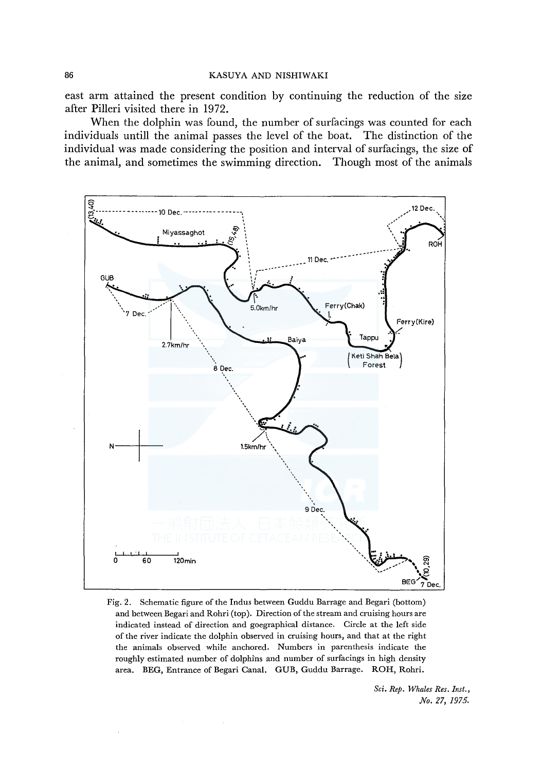east arm attained the present condition by continuing the reduction of the size after Pilleri visited there in 1972.

When the dolphin was found, the number of surfacings was counted for each individuals untill the animal passes the level of the boat. The distinction of the individual was made considering the position and interval of surfacings, the size of the animal, and sometimes the swimming direction. Though most of the animals



Fig. 2. Schematic figure of the lndus between Guddu Barrage and Begari (bottom) and between Begari and Rohri (top). Direction of the stream and cruising hours are indicated instead of direction and goegraphical distance. Circle at the left side of the river indicate the dolphin observed in cruising hours, and that at the right the animals observed while anchored. Numbers in parenthesis indicate the roughly estimated number of dolphins and number of surfacings in high density area. BEG, Entrance of Begari Canal. GUB, Guddu Barrage. ROH, Rohri.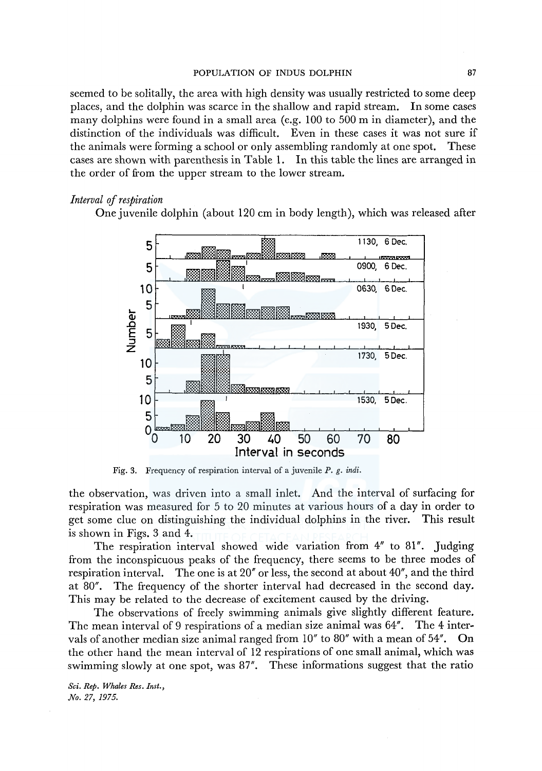seemed to be solitally, the area with high density was usually restricted to some deep places, and the dolphin was scarce in the shallow and rapid stream. In some cases many dolphins were found in a small area (e.g. 100 to 500 m in diameter), and the distinction of the individuals was difficult. Even in these cases it was not sure if the animals were forming a school or only assembling randomly at one spot. These cases are shown with parenthesis in Table 1. In this table the lines are arranged in the order of from the upper stream to the lower stream.

### *Interval* of *respiration*

One juvenile dolphin (about 120 cm in body length), which was released after



Fig. 3. Frequency of respiration interval of a juvenile *P.* g. *indi.* 

the observation, was driven into a small inlet. And the interval of surfacing for respiration was measured for 5 to 20 minutes at various hours of a day in order to get some clue on distinguishing the individual dolphins in the river. This result is shown in Figs. 3 and 4.

The respiration interval showed wide variation from 4" to 81". Judging from the inconspicuous peaks of the frequency, there seems to be three modes of respiration interval. The one is at 20" or less, the second at about 40", and the third at 80". The frequency of the shorter interval had decreased in the second day. This may be related to the decrease of excitement caused by the driving.

The observations of freely swimming animals give slightly different feature. The mean interval of 9 respirations of a median size animal was 64". The 4 intervals of another median size animal ranged from 10" to 80" with a mean of 54". On the other hand the mean interval of 12 respirations of one small animal, which was swimming slowly at one spot, was 87". These informations suggest that the ratio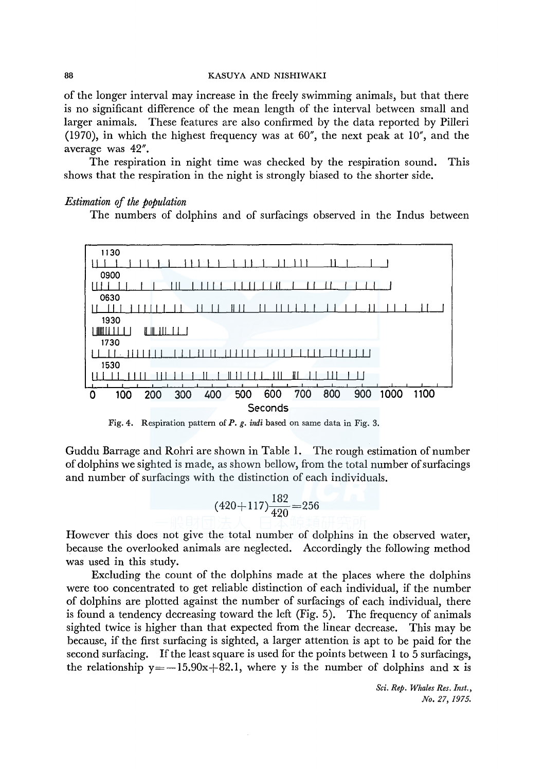of the longer interval may increase in the freely swimming animals, but that there is no significant difference of the mean length of the interval between small and larger animals. These features are also confirmed by the data reported by Pilleri (1970), in which the highest frequency was at 60", the next peak at 10", and the average was 42".

The respiration in night time was checked by the respiration sound. This shows that the respiration in the night is strongly biased to the shorter side.

# *Estimation of the population*

The numbers of dolphins and of surfacings observed in the Indus between



Fig. 4. Respiration pattern of P. g. *indi* based on same data in Fig. 3.

Guddu Barrage and Rohri are shown in Table 1. The rough estimation of number of dolphins we sighted is made, as shown bellow, from the total number of surfacings and number of surfacings with the distinction of each individuals.

$$
(420+117)\frac{182}{420}=256
$$

However this does not give the total number of dolphins in the observed water, because the overlooked animals are neglected. Accordingly the following method was used in this study.

Excluding the count of the dolphins made at the places where the dolphins were too concentrated to get reliable distinction of each individual, if the number of dolphins are plotted against the number of surfacings of each individual, there is found a tendency decreasing toward the left (Fig. 5). The frequency of animals sighted twice is higher than that expected from the linear decrease. This may be because, if the first surfacing is sighted, a larger attention is apt to be paid for the second surfacing. If the least square is used for the points between 1 to 5 surfacings, the relationship  $y = -15.90x+82.1$ , where y is the number of dolphins and x is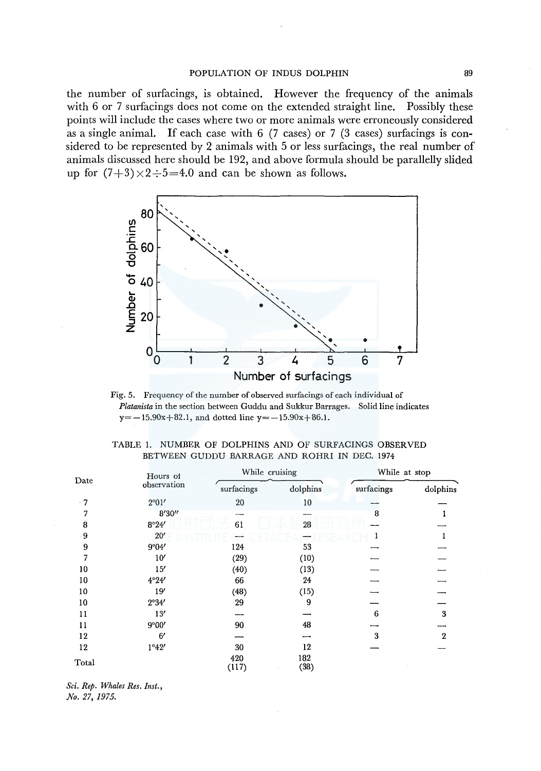#### POPULATION OF INDUS DOLPHIN 89

the number of surfacings, is obtained. However the frequency of the animals with 6 or 7 surfacings does not come on the extended straight line. Possibly these points will include the cases where two or more animals were erroneously considered as a single animal. If each case with  $6$  (7 cases) or 7 (3 cases) surfacings is considered to be represented by 2 animals with 5 or less surfacings, the real number of animals discussed here should be 192, and above formula should be parallelly slided up for  $(7+3) \times 2 \div 5 = 4.0$  and can be shown as follows.



Fig. 5. Frequency of the number of observed surfacings of each individual of *Platanista* in the section between Guddu and Sukkur Barrages. Solid line indicates  $y=-15.90x+82.1$ , and dotted line  $y=-15.90x+86.1$ .

|  |  |  |  |                                              | TABLE 1. NUMBER OF DOLPHINS AND OF SURFACINGS OBSERVED |
|--|--|--|--|----------------------------------------------|--------------------------------------------------------|
|  |  |  |  | BETWEEN GUDDU BARRAGE AND ROHRI IN DEC. 1974 |                                                        |

|       | Hours of       | While cruising |             | While at stop |              |
|-------|----------------|----------------|-------------|---------------|--------------|
| Date  | observation    | surfacings     | dolphins    | surfacings    | dolphins     |
| $-7$  | $2^{\circ}01'$ | 20             | 10          |               |              |
| 7     | 8'30''         |                |             | 8             |              |
| 8     | 8°24'          | 61             | 28          |               |              |
| - 9   | 20'            |                |             |               |              |
| 9     | 9°04'          | 124            | 53          |               |              |
| 7     | 10'            | (29)           | (10)        |               |              |
| 10    | 15'            | (40)           | (13)        |               |              |
| 10    | 4°24'          | 66             | 24          |               |              |
| 10    | 19'            | (48)           | (15)        |               |              |
| 10    | 2°34'          | 29             | 9           |               |              |
| 11    | 13'            |                |             | 6             | 3            |
| 11    | 9°00'          | 90             | 48          |               |              |
| 12    | 6'             |                |             | 3             | $\mathbf{2}$ |
| 12    | 1°42'          | 30             | 12          |               |              |
| Total |                | 420<br>(117)   | 182<br>(38) |               |              |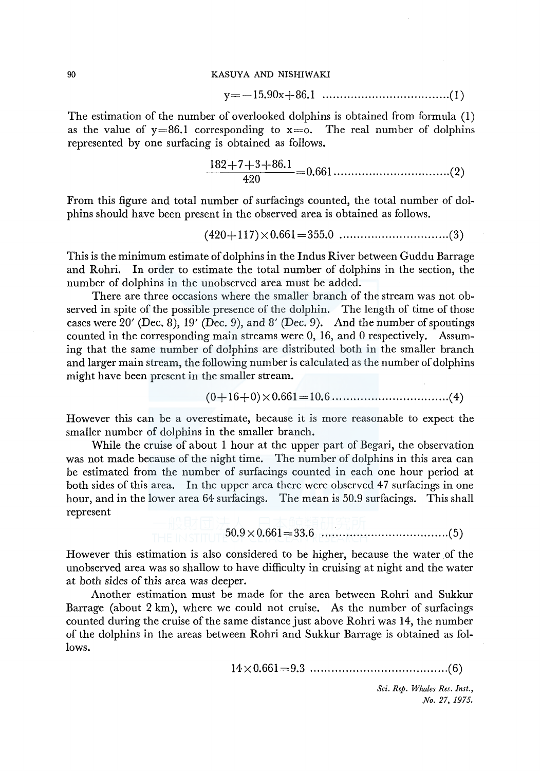y=-15.90x+86.l .................................... (1)

The estimation of the number of overlooked dolphins is obtained from formula (1) as the value of  $y=86.1$  corresponding to  $x=0$ . The real number of dolphins represented by one surfacing is obtained as follows.

182+7+3+86.l 420 0.661 ................................. (2)

From this figure and total number of surfacings counted, the total number of dolphins should have been present in the observed area is obtained as follows.

( 420+ 117) x 0.661 =355.0 ............................... (3)

This is the minimum estimate of dolphins in the Indus River between Guddu Barrage and Rohri. In order to estimate the total number of dolphins in the section, the number of dolphins in the unobserved area must be added.

There are three occasions where the smaller branch of the stream was not observed in spite of the possible presence of the dolphin. The length of time of those cases were 20' (Dec. 8), 19' (Dec. 9), and 8' (Dec. 9). And the number of spoutings counted in the corresponding main streams were 0, 16, and 0 respectively. Assuming that the same number of dolphins are distributed both in the smaller branch and larger main stream, the following number is calculated as the number of dolphins might have been present in the smaller stream.

(O+ 16+0) x 0.661=10.6 ................................. ( 4)

However this can be a overestimate, because it is more reasonable to expect the smaller number of dolphins in the smaller branch.

While the cruise of about 1 hour at the upper part of Begari, the observation was not made because of the night time. The number of dolphins in this area can be estimated from the number of surfacings counted in each one hour period at both sides of this area. In the upper area there were observed 47 surfacings in one hour, and in the lower area 64 surfacings. The mean is 50.9 surfacings. This shall represent

50.9x0.661=33.6 .................................... (5)

However this estimation is also considered to be higher, because the water of the unobserved area was so shallow to have difficulty in cruising at night and the water at both sides of this area was deeper.

Another estimation must be made for the area between Rohri and Sukkur Barrage (about 2 km), where we could not cruise. As the number of surfacings counted during the cruise of the same distance just above Rohri was 14, the number of the dolphins in the areas between Rohri and Sukkur Barrage is obtained as follows.

14x0.661=9.3 ....................................... (6)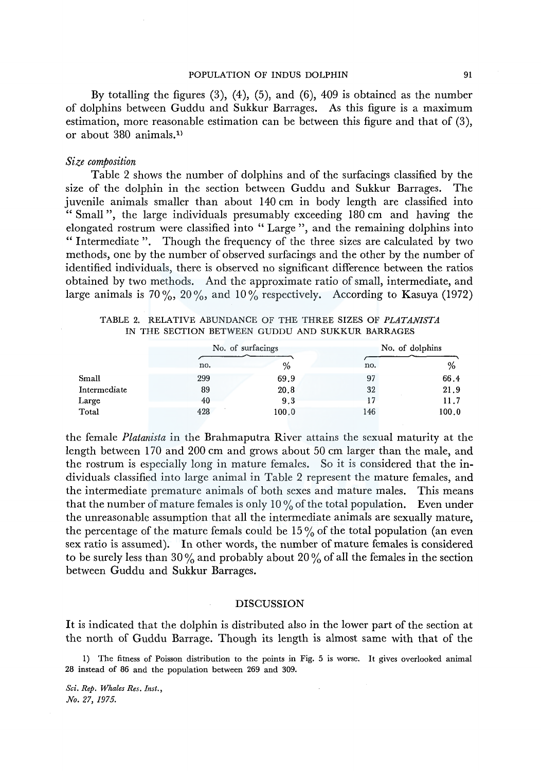By totalling the figures  $(3)$ ,  $(4)$ ,  $(5)$ , and  $(6)$ ,  $409$  is obtained as the number of dolphins between Guddu and Sukkur Barrages. As this figure is a maximum estimation, more reasonable estimation can be between this figure and that of (3), or about 380 animals.<sup>1)</sup>

## *Size composition*

Table 2 shows the number of dolphins and of the surfacings classified by the size of the dolphin in the section between Guddu and Sukkur Barrages. The juvenile animals smaller than about 140 cm in body length are classified into " Small ", the large individuals presumably exceeding 180 cm and having the elongated rostrum were classified into "Large'', and the remaining dolphins into " Intermediate ". Though the frequency of the three sizes are calculated by two methods, one by the number of observed surfacings and the other by the number of identified individuals, there is observed no significant difference between the ratios obtained by two methods. And the approximate ratio of small, intermediate, and large animals is 70%, 20%, and 10% respectively. According to Kasuya (1972)

TABLE 2. RELATIVE ABUNDANCE OF THE THREE SIZES OF *PLATANISTA*  IN THE SECTION BETWEEN GUDDU AND SUKKUR BARRAGES

|              |     | No. of surfacings |     | No. of dolphins |  |  |
|--------------|-----|-------------------|-----|-----------------|--|--|
|              | no. | $\%$              | no. | %               |  |  |
| Small        | 299 | 69.9              | 97  | 66.4            |  |  |
| Intermediate | 89  | 20.8              | 32  | 21.9            |  |  |
| Large        | 40  | 9,3               |     | 11.7            |  |  |
| Total        | 428 | 100.0             | 146 | 100.0           |  |  |

the female *Platanista* in the Brahmaputra River attains the sexual maturity at the length between 1 70 and 200 cm and grows about 50 cm larger than the male, and the rostrum is especially long in mature females. So it is considered that the individuals classified into large animal in Table 2 represent the mature females, and the intermediate premature animals of both sexes and mature males. This means that the number of mature females is only 10  $\%$  of the total population. Even under the unreasonable assumption that all the intermediate animals are sexually mature, the percentage of the mature femals could be  $15\%$  of the total population (an even sex ratio is assumed). In other words, the number of mature females is considered to be surely less than 30% and probably about 20% of all the females in the section between Guddu and Sukkur Barrages.

### DISCUSSION

It is indicated that the dolphin is distributed also in the lower part of the section at the north of Guddu Barrage. Though its length is almost same with that of the

l) The fitness of Poisson distribution to the points in Fig. 5 is worse. It gives overlooked animal 28 instead of 86 and the population between 269 and 309.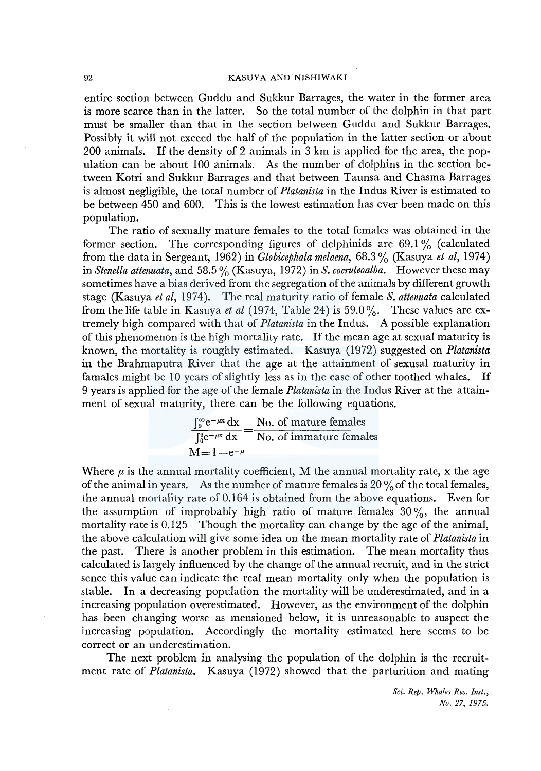entire section between Guddu and Sukkur Barrages, the water in the former area is more scarce than in the latter. So the total number of the dolphin in that part must be smaller than that in the section between Guddu and Sukkur Barrages. Possibly it will not exceed the half of the population in the latter section or about 200 animals. If the density of 2 animals in 3 km is applied for the area, the population can be about 100 animals. As the number of dolphins in the section between Kotri and Sukkur Barrages and that between Taunsa and Chasma Barrages is almost negligible, the total number of *Platanista* in the lndus River is estimated to be between 450 and 600. This is the lowest estimation has ever been made on this population.

The ratio of sexually mature females to the total females was obtained in the former section. The corresponding figures of delphinids are  $69.1\%$  (calculated from the data in Sergeant, 1962) in *Globicephala melaena,* 68.3 % (Kasuya *et al,* 1974) in *Stenella attenuata,* and 58.5 % (Kasuya, 1972) in *S. coeruleoalba.* However these may sometimes have a bias derived from the segregation of the animals by different growth stage (Kasuya *et al,* 1974). The real maturity ratio of female *S. attenuata* calculated from the life table in Kasuya *et al* (1974, Table 24) is 59.0 %· These values are extremely high compared with that of *Platanista* in the Indus. A possible explanation of this phenomenon is the high mortality rate. If the mean age at sexual maturity is known, the mortality is roughly estimated. Kasuya (1972) suggested on *Platanista*  in the Brahmaputra River that the age at the attainment of sexusal maturity in famales might be 10 years of slightly less as in the case of other toothed whales. If 9 years is applied for the age of the female *Platanista* in the lndus River at the attainment of sexual maturity, there can be the following equations.

$$
\frac{\int_0^{\infty} e^{-\mu x} dx}{\int_0^{\infty} e^{-\mu x} dx} = \frac{\text{No. of mature females}}{\text{No. of immature females}}
$$
  
M=1-e<sup>-\mu</sup>

Where  $\mu$  is the annual mortality coefficient, M the annual mortality rate, x the age of the animal in years. As the number of mature females is  $20\%$  of the total females, the annual mortality rate of 0.164 is obtained from the above equations. Even for the assumption of improbably high ratio of mature females  $30\%$ , the annual mortality rate is 0.125 Though the mortality can change by the age of the animal, the above calculation will give some idea on the mean mortality rate of *Platanista* in the past. There is another problem in this estimation. The mean mortality thus calculated is largely influenced by the change of the annual recruit, and in the strict sence this value can indicate the real mean mortality only when the population is stable. In a decreasing population the mortality will be underestimated, and in a increasing population overestimated. However, as the environment of the dolphin has been changing worse as mensioned below, it is unreasonable to suspect the increasing population. Accordingly the mortality estimated here seems to be correct or an underestimation.

The next problem in analysing the population of the dolphin is the recruitment rate of *Platanista.* Kasuya (1972) showed that the parturition and mating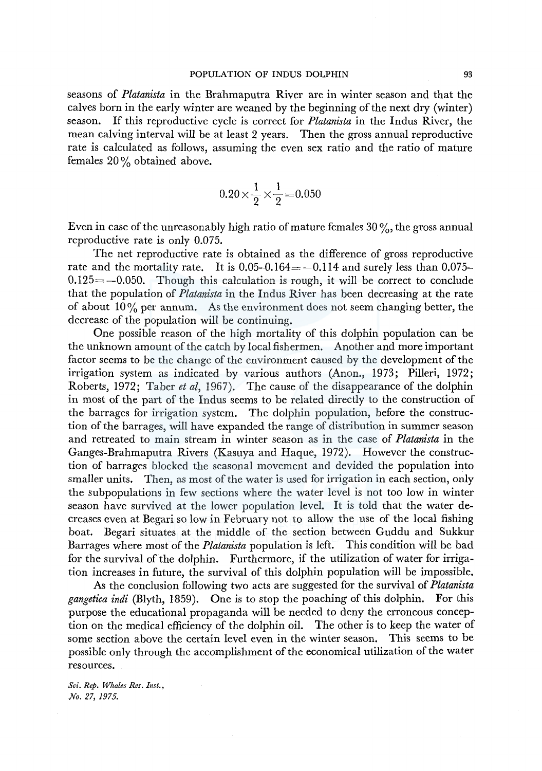seasons of *Platanista* in the Brahmaputra River are in winter season and that the calves born in the early winter are weaned by the beginning of the next dry (winter) season. If this reproductive cycle is correct for *Platanista* in the Indus River, the mean calving interval will be at least 2 years. Then the gross annual reproductive rate is calculated as follows, assuming the even sex ratio and the ratio of mature females 20 % obtained above.

$$
0.20 \times \frac{1}{2} \times \frac{1}{2} = 0.050
$$

Even in case of the unreasonably high ratio of mature females  $30\%$ , the gross annual reproductive rate is only 0.075.

The net reproductive rate is obtained as the difference of gross reproductive rate and the mortality rate. It is  $0.05-0.164=-0.114$  and surely less than 0.075- $0.125 = -0.050$ . Though this calculation is rough, it will be correct to conclude that the population of *Platanista* in the Indus River has been decreasing at the rate of about  $10\%$  per annum. As the environment does not seem changing better, the decrease of the population will be continuing.

One possible reason of the high mortality of this dolphin population can be the unknown amount of the catch by local fishermen. Another and more important factor seems to be the change of the environment caused by the development of the irrigation system as indicated by various authors (Anon., 1973; Pilleri, 1972; Roberts, 1972; Taber *et al,* 1967). The cause of the disappearance of the dolphin in most of the part of the Indus seems to be related directly to the construction of the barrages for irrigation system. The dolphin population, before the construction of the barrages, will have expanded the range of distribution in summer season and retreated to main stream in winter season as in the case of *Platanista* in the Ganges-Brahmaputra Rivers (Kasuya and Haque, 1972). However the construction of barrages blocked the seasonal movement and devided the population into smaller units. Then, as most of the water is used for irrigation in each section, only the subpopulations in few sections where the water level is not too low in winter season have survived at the lower population level. It is told that the water decreases even at Begari so low in February not to allow the use of the local fishing boat. Begari situates at the middle of the section between Guddu and Sukkur Barrages where most of the *Platanista* population is left. This condition will be bad for the survival of the dolphin. Furthermore, if the utilization of water for irrigation increases in future, the survival of this dolphin population will be impossible.

As the conclusion following two acts are suggested for the survival of *Platanista gangetica indi* (Blyth, 1859). One is to stop the poaching of this dolphin. For this purpose the educational propaganda will be needed to deny the erroneous conception on the medical efficiency of the dolphin oil. The other is to keep the water of some section above the certain level even in the winter season. This seems to be possible only through the accomplishment of the economical utilization of the water resources.